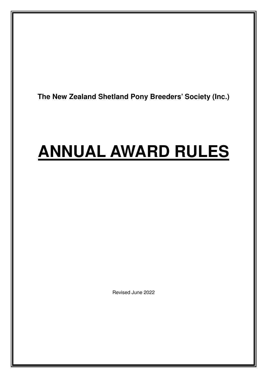**The New Zealand Shetland Pony Breeders' Society (Inc.)** 

# **ANNUAL AWARD RULES**

Revised June 2022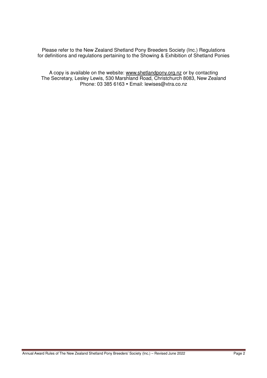Please refer to the New Zealand Shetland Pony Breeders Society (Inc.) Regulations for definitions and regulations pertaining to the Showing & Exhibition of Shetland Ponies

A copy is available on the website: www.shetlandpony.org.nz or by contacting The Secretary, Lesley Lewis, 530 Marshland Road, Christchurch 8083, New Zealand Phone: 03 385 6163 · Email: lewises@xtra.co.nz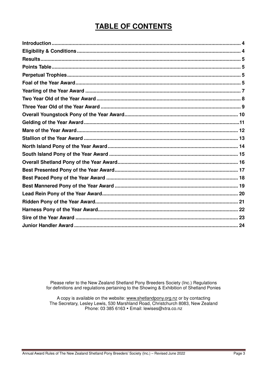# **TABLE OF CONTENTS**

Please refer to the New Zealand Shetland Pony Breeders Society (Inc.) Regulations for definitions and regulations pertaining to the Showing & Exhibition of Shetland Ponies

A copy is available on the website: www.shetlandpony.org.nz or by contacting<br>The Secretary, Lesley Lewis, 530 Marshland Road, Christchurch 8083, New Zealand Phone: 03 385 6163 · Email: lewises@xtra.co.nz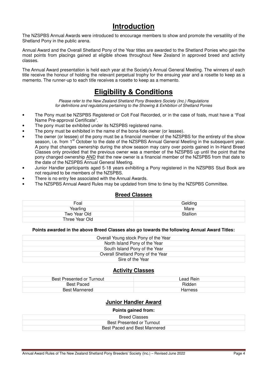# **Introduction**

The NZSPBS Annual Awards were introduced to encourage members to show and promote the versatility of the Shetland Pony in the public arena.

Annual Award and the Overall Shetland Pony of the Year titles are awarded to the Shetland Ponies who gain the most points from placings gained at eligible shows throughout New Zealand in approved breed and activity classes.

The Annual Award presentation is held each year at the Society's Annual General Meeting. The winners of each title receive the honour of holding the relevant perpetual trophy for the ensuing year and a rosette to keep as a memento. The runner-up to each title receives a rosette to keep as a memento.

# **Eligibility & Conditions**

Please refer to the New Zealand Shetland Pony Breeders Society (Inc.) Regulations for definitions and regulations pertaining to the Showing & Exhibition of Shetland Ponies

- The Pony must be NZSPBS Registered or Colt Foal Recorded, or in the case of foals, must have a "Foal Name Pre-approval Certificate".
- The pony must be exhibited under its NZSPBS registered name.
- The pony must be exhibited in the name of the bona-fide owner (or lessee).
- The owner (or lessee) of the pony must be a financial member of the NZSPBS for the entirety of the show season, i.e. from 1<sup>st</sup> October to the date of the NZSPBS Annual General Meeting in the subsequent year. A pony that changes ownership during the show season may carry over points gained in In-Hand Breed Classes only provided that the previous owner was a member of the NZSPBS up until the point that the pony changed ownership AND that the new owner is a financial member of the NZSPBS from that date to the date of the NZSPBS Annual General Meeting.
- Junior Handler participants aged 5-18 years exhibiting a Pony registered in the NZSPBS Stud Book are not required to be members of the NZSPBS.
- There is no entry fee associated with the Annual Awards.
- The NZSPBS Annual Award Rules may be updated from time to time by the NZSPBS Committee.

#### **Breed Classes**

| Foal           | Gelding  |
|----------------|----------|
| Yearling       | Mare     |
| Two Year Old   | Stallion |
| Three Year Old |          |

#### **Points awarded in the above Breed Classes also go towards the following Annual Award Titles:**

| Overall Young stock Pony of the Year |
|--------------------------------------|
| North Island Pony of the Year        |
| South Island Pony of the Year        |
| Overall Shetland Pony of the Year    |
| Sire of the Year                     |

#### **Activity Classes**

| Best Presented or Turnout | Lead Rein |
|---------------------------|-----------|
| Best Paced                | Ridden    |
| <b>Best Mannered</b>      | Harness   |

#### **Junior Handler Award**

#### **Points gained from:**

| Breed Classes                    |
|----------------------------------|
| <b>Best Presented or Turnout</b> |
| Best Paced and Best Mannered     |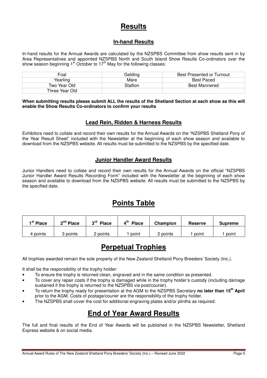### **Results**

#### **In-hand Results**

In-hand results for the Annual Awards are calculated by the NZSPBS Committee from show results sent in by Area Representatives and appointed NZSPBS North and South Island Show Results Co-ordinators over the show season beginning  $1<sup>st</sup>$  October to  $17<sup>th</sup>$  May for the following classes:

| Foal           | Geldina  | Best Presented or Turnout |
|----------------|----------|---------------------------|
| Yearling       | Mare     | Best Paced                |
| Two Year Old   | Stallion | <b>Best Mannered</b>      |
| Three Year Old |          |                           |

**When submitting results please submit ALL the results of the Shetland Section at each show as this will enable the Show Results Co-ordinators to confirm your results** 

#### **Lead Rein, Ridden & Harness Results**

Exhibitors need to collate and record their own results for the Annual Awards on the "NZSPBS Shetland Pony of the Year Result Sheet" included with the Newsletter at the beginning of each show season and available to download from the NZSPBS website. All results must be submitted to the NZSPBS by the specified date.

#### **Junior Handler Award Results**

Junior Handlers need to collate and record their own results for the Annual Awards on the official "NZSPBS Junior Handler Award Results Recording Form" included with the Newsletter at the beginning of each show season and available to download from the NZSPBS website. All results must be submitted to the NZSPBS by the specified date.

# **Points Table**

| <sup>st</sup> Place | $2nd$ Place | ეrd<br>Place | $\mathbf{A}^{\text{th}}$<br><b>Place</b> | Champion | <b>Reserve</b> | <b>Supreme</b> |
|---------------------|-------------|--------------|------------------------------------------|----------|----------------|----------------|
| 4 points            | points      | points       | point                                    | 2 points | point          | point          |

# **Perpetual Trophies**

All trophies awarded remain the sole property of the New Zealand Shetland Pony Breeders' Society (Inc.).

It shall be the responsibility of the trophy holder:

- To ensure the trophy is returned clean, engraved and in the same condition as presented.
- To cover any repair costs if the trophy is damaged while in the trophy holder's custody (including damage sustained if the trophy is returned to the NZSPBS via post/courier).
- To return the trophy ready for presentation at the AGM to the NZSPBS Secretary **no later than 15th April** prior to the AGM. Costs of postage/courier are the responsibility of the trophy holder.
- The NZSPBS shall cover the cost for additional engraving plates and/or plinths as required.

# **End of Year Award Results**

The full and final results of the End of Year Awards will be published in the NZSPBS Newsletter, Shetland Express website & on social media.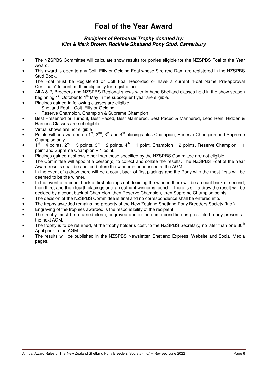# **Foal of the Year Award**

#### **Recipient of Perpetual Trophy donated by: Kim & Mark Brown, Rockisle Shetland Pony Stud, Canterbury**

- The NZSPBS Committee will calculate show results for ponies eligible for the NZSPBS Foal of the Year Award.
- This award is open to any Colt, Filly or Gelding Foal whose Sire and Dam are registered in the NZSPBS Stud Book.
- The Foal must be Registered or Colt Foal Recorded or have a current "Foal Name Pre-approval Certificate" to confirm their eligibility for registration.
- All A & P, Breeders and NZSPBS Regional shows with In-hand Shetland classes held in the show season beginning  $1<sup>st</sup>$  October to  $1<sup>st</sup>$  May in the subsequent year are eligible.
	- Placings gained in following classes are eligible:
		- Shetland Foal Colt, Filly or Gelding
		- Reserve Champion, Champion & Supreme Champion
- Best Presented or Turnout, Best Paced, Best Mannered, Best Paced & Mannered, Lead Rein, Ridden & Harness Classes are not eligible.
- Virtual shows are not eligible
- Points will be awarded on  $1^{st}$ ,  $2^{nd}$ ,  $3^{rd}$  and  $4^{th}$  placings plus Champion, Reserve Champion and Supreme Champion only.
- $1^{st} = 4$  points,  $2^{nd} = 3$  points,  $3^{rd} = 2$  points,  $4^{th} = 1$  point, Champion = 2 points, Reserve Champion = 1 point and Supreme Champion = 1 point.
- Placings gained at shows other than those specified by the NZSPBS Committee are not eligible.
- The Committee will appoint a person(s) to collect and collate the results**.** The NZSPBS Foal of the Year Award results shall be audited before the winner is announced at the AGM.
- In the event of a draw there will be a count back of first placings and the Pony with the most firsts will be deemed to be the winner.
- In the event of a count back of first placings not deciding the winner, there will be a count back of second, then third, and then fourth placings until an outright winner is found. If there is still a draw the result will be decided by a count back of Champion, then Reserve Champion, then Supreme Champion points.
- The decision of the NZSPBS Committee is final and no correspondence shall be entered into.
- The trophy awarded remains the property of the New Zealand Shetland Pony Breeders Society (Inc.).
- Engraving of the trophies awarded is the responsibility of the recipient.
- The trophy must be returned clean, engraved and in the same condition as presented ready present at the next AGM.
- The trophy is to be returned, at the trophy holder's cost, to the NZSPBS Secretary, no later than one 30<sup>th</sup> April prior to the AGM.
- The results will be published in the NZSPBS Newsletter, Shetland Express, Website and Social Media pages.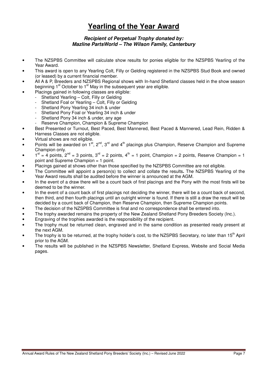# **Yearling of the Year Award**

#### **Recipient of Perpetual Trophy donated by: Mazline PartsWorld – The Wilson Family, Canterbury**

- The NZSPBS Committee will calculate show results for ponies eligible for the NZSPBS Yearling of the Year Award.
- This award is open to any Yearling Colt, Filly or Gelding registered in the NZSPBS Stud Book and owned (or leased) by a current financial member.
- All A & P, Breeders and NZSPBS Regional shows with In-hand Shetland classes held in the show season beginning  $1<sup>st</sup>$  October to  $1<sup>st</sup>$  May in the subsequent year are eligible.
	- Placings gained in following classes are eligible:
		- Shetland Yearling Colt, Filly or Gelding
		- Shetland Foal or Yearling Colt, Filly or Gelding
		- Shetland Pony Yearling 34 inch & under
		- Shetland Pony Foal or Yearling 34 inch & under
		- Shetland Pony 34 inch & under, any age
		- Reserve Champion, Champion & Supreme Champion
- Best Presented or Turnout, Best Paced, Best Mannered, Best Paced & Mannered, Lead Rein, Ridden & Harness Classes are not eligible.
- Virtual shows are not eligible.
- Points will be awarded on 1<sup>st</sup>, 2<sup>nd</sup>, 3<sup>rd</sup> and 4<sup>th</sup> placings plus Champion, Reserve Champion and Supreme Champion only.
- $1^{\text{st}} = 4$  points,  $2^{\text{nd}} = 3$  points,  $3^{\text{rd}} = 2$  points,  $4^{\text{th}} = 1$  point, Champion = 2 points, Reserve Champion = 1 point and Supreme Champion = 1 point.
- Placings gained at shows other than those specified by the NZSPBS Committee are not eligible.
- The Committee will appoint a person(s) to collect and collate the results**.** The NZSPBS Yearling of the Year Award results shall be audited before the winner is announced at the AGM.
- In the event of a draw there will be a count back of first placings and the Pony with the most firsts will be deemed to be the winner.
- In the event of a count back of first placings not deciding the winner, there will be a count back of second, then third, and then fourth placings until an outright winner is found. If there is still a draw the result will be decided by a count back of Champion, then Reserve Champion, then Supreme Champion points.
- The decision of the NZSPBS Committee is final and no correspondence shall be entered into.
- The trophy awarded remains the property of the New Zealand Shetland Pony Breeders Society (Inc.).
- Engraving of the trophies awarded is the responsibility of the recipient.
- The trophy must be returned clean, engraved and in the same condition as presented ready present at the next AGM.
- The trophy is to be returned, at the trophy holder's cost, to the NZSPBS Secretary, no later than 15<sup>th</sup> April prior to the AGM.
- The results will be published in the NZSPBS Newsletter, Shetland Express, Website and Social Media pages.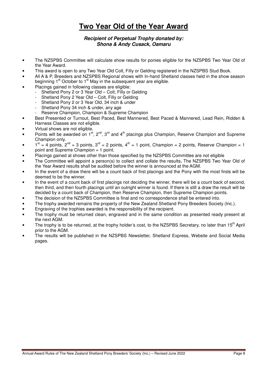# **Two Year Old of the Year Award**

#### **Recipient of Perpetual Trophy donated by: Shona & Andy Cusack, Oamaru**

- The NZSPBS Committee will calculate show results for ponies eligible for the NZSPBS Two Year Old of the Year Award.
- This award is open to any Two Year Old Colt, Filly or Gelding registered in the NZSPBS Stud Book.
- All A & P, Breeders and NZSPBS Regional shows with In-hand Shetland classes held in the show season beginning  $1<sup>st</sup>$  October to  $1<sup>st</sup>$  May in the subsequent year are eligible.
- Placings gained in following classes are eligible:
	- Shetland Pony 2 or 3 Year Old Colt, Filly or Gelding
	- Shetland Pony 2 Year Old Colt, Filly or Gelding
	- Shetland Pony 2 or 3 Year Old, 34 inch & under
	- Shetland Pony 34 inch & under, any age
	- Reserve Champion, Champion & Supreme Champion
- Best Presented or Turnout, Best Paced, Best Mannered, Best Paced & Mannered, Lead Rein, Ridden & Harness Classes are not eligible.
- Virtual shows are not eligible.
- Points will be awarded on 1<sup>st</sup>, 2<sup>nd</sup>, 3<sup>rd</sup> and 4<sup>th</sup> placings plus Champion, Reserve Champion and Supreme Champion only.
- $1<sup>st</sup> = 4$  points,  $2<sup>nd</sup> = 3$  points,  $3<sup>rd</sup> = 2$  points,  $4<sup>th</sup> = 1$  point, Champion = 2 points, Reserve Champion = 1 point and Supreme Champion = 1 point.
- Placings gained at shows other than those specified by the NZSPBS Committee are not eligible
- The Committee will appoint a person(s) to collect and collate the results**.** The NZSPBS Two Year Old of the Year Award results shall be audited before the winner is announced at the AGM.
- In the event of a draw there will be a count back of first placings and the Pony with the most firsts will be deemed to be the winner.
- In the event of a count back of first placings not deciding the winner, there will be a count back of second, then third, and then fourth placings until an outright winner is found. If there is still a draw the result will be decided by a count back of Champion, then Reserve Champion, then Supreme Champion points.
- The decision of the NZSPBS Committee is final and no correspondence shall be entered into.
- The trophy awarded remains the property of the New Zealand Shetland Pony Breeders Society (Inc.).
- Engraving of the trophies awarded is the responsibility of the recipient.
- The trophy must be returned clean, engraved and in the same condition as presented ready present at the next AGM.
- The trophy is to be returned, at the trophy holder's cost, to the NZSPBS Secretary, no later than 15<sup>th</sup> April prior to the AGM.
- The results will be published in the NZSPBS Newsletter, Shetland Express, Website and Social Media pages.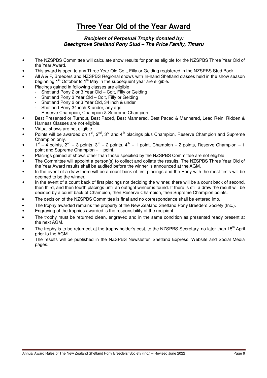# **Three Year Old of the Year Award**

#### **Recipient of Perpetual Trophy donated by: Beechgrove Shetland Pony Stud – The Price Family, Timaru**

- The NZSPBS Committee will calculate show results for ponies eligible for the NZSPBS Three Year Old of the Year Award.
- This award is open to any Three Year Old Colt, Filly or Gelding registered in the NZSPBS Stud Book.
- All A & P, Breeders and NZSPBS Regional shows with In-hand Shetland classes held in the show season beginning  $1<sup>st</sup>$  October to  $1<sup>st</sup>$  May in the subsequent year are eligible.
- Placings gained in following classes are eligible:
	- Shetland Pony 2 or 3 Year Old Colt, Filly or Gelding
	- Shetland Pony 3 Year Old Colt, Filly or Gelding
	- Shetland Pony 2 or 3 Year Old, 34 inch & under
	- Shetland Pony 34 inch & under, any age
	- Reserve Champion, Champion & Supreme Champion
- Best Presented or Turnout, Best Paced, Best Mannered, Best Paced & Mannered, Lead Rein, Ridden & Harness Classes are not eligible.
- Virtual shows are not eligible.
- Points will be awarded on 1<sup>st</sup>, 2<sup>nd</sup>, 3<sup>rd</sup> and 4<sup>th</sup> placings plus Champion, Reserve Champion and Supreme Champion only.
- $1<sup>st</sup> = 4$  points,  $2<sup>nd</sup> = 3$  points,  $3<sup>rd</sup> = 2$  points,  $4<sup>th</sup> = 1$  point, Champion = 2 points, Reserve Champion = 1 point and Supreme Champion = 1 point.
- Placings gained at shows other than those specified by the NZSPBS Committee are not eligible
- The Committee will appoint a person(s) to collect and collate the results**.** The NZSPBS Three Year Old of the Year Award results shall be audited before the winner is announced at the AGM.
- In the event of a draw there will be a count back of first placings and the Pony with the most firsts will be deemed to be the winner.
- In the event of a count back of first placings not deciding the winner, there will be a count back of second, then third, and then fourth placings until an outright winner is found. If there is still a draw the result will be decided by a count back of Champion, then Reserve Champion, then Supreme Champion points.
- The decision of the NZSPBS Committee is final and no correspondence shall be entered into.
- The trophy awarded remains the property of the New Zealand Shetland Pony Breeders Society (Inc.).
- Engraving of the trophies awarded is the responsibility of the recipient.
- The trophy must be returned clean, engraved and in the same condition as presented ready present at the next AGM.
- The trophy is to be returned, at the trophy holder's cost, to the NZSPBS Secretary, no later than 15<sup>th</sup> April prior to the AGM.
- The results will be published in the NZSPBS Newsletter, Shetland Express, Website and Social Media pages.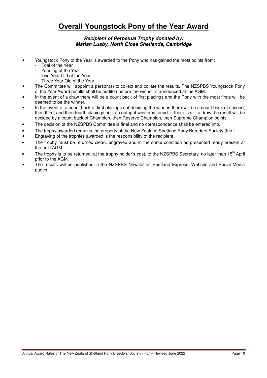# **Overall Youngstock Pony of the Year Award**

#### **Recipient of Perpetual Trophy donated by: Marian Lusby, North Close Shetlands, Cambridge**

- Youngstock Pony of the Year is awarded to the Pony who has gained the most points from:
	- Foal of the Year
	- Yearling of the Year
	- Two Year Old of the Year
	- Three Year Old of the Year
- The Committee will appoint a person(s) to collect and collate the results**.** The NZSPBS Youngstock Pony of the Year Award results shall be audited before the winner is announced at the AGM.
- In the event of a draw there will be a count back of first placings and the Pony with the most firsts will be deemed to be the winner.
- In the event of a count back of first placings not deciding the winner, there will be a count back of second, then third, and then fourth placings until an outright winner is found. If there is still a draw the result will be decided by a count back of Champion, then Reserve Champion, then Supreme Champion points.
- The decision of the NZSPBS Committee is final and no correspondence shall be entered into.
- The trophy awarded remains the property of the New Zealand Shetland Pony Breeders Society (Inc.).
- Engraving of the trophies awarded is the responsibility of the recipient.
- The trophy must be returned clean, engraved and in the same condition as presented ready present at the next AGM.
- The trophy is to be returned, at the trophy holder's cost, to the NZSPBS Secretary, no later than 15<sup>th</sup> April prior to the AGM.
- The results will be published in the NZSPBS Newsletter, Shetland Express, Website and Social Media pages.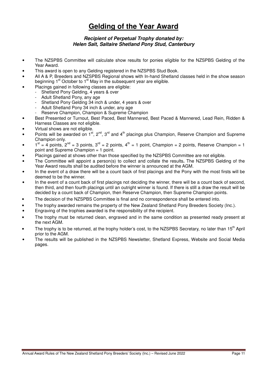# **Gelding of the Year Award**

#### **Recipient of Perpetual Trophy donated by: Helen Salt, Saltaire Shetland Pony Stud, Canterbury**

- The NZSPBS Committee will calculate show results for ponies eligible for the NZSPBS Gelding of the Year Award.
- This award is open to any Gelding registered in the NZSPBS Stud Book.
- All A & P, Breeders and NZSPBS Regional shows with In-hand Shetland classes held in the show season beginning  $1<sup>st</sup>$  October to  $1<sup>st</sup>$  May in the subsequent year are eligible.
- Placings gained in following classes are eligible:
	- Shetland Pony Gelding, 4 years & over
		- Adult Shetland Pony, any age
		- Shetland Pony Gelding 34 inch & under, 4 years & over
		- Adult Shetland Pony 34 inch & under, any age
		- Reserve Champion, Champion & Supreme Champion
- Best Presented or Turnout, Best Paced, Best Mannered, Best Paced & Mannered, Lead Rein, Ridden & Harness Classes are not eligible.
- Virtual shows are not eligible.
- Points will be awarded on 1<sup>st</sup>, 2<sup>nd</sup>, 3<sup>rd</sup> and 4<sup>th</sup> placings plus Champion, Reserve Champion and Supreme Champion only.
- $1<sup>st</sup> = 4$  points,  $2<sup>nd</sup> = 3$  points,  $3<sup>rd</sup> = 2$  points,  $4<sup>th</sup> = 1$  point, Champion = 2 points, Reserve Champion = 1 point and Supreme Champion = 1 point.
- Placings gained at shows other than those specified by the NZSPBS Committee are not eligible.
- The Committee will appoint a person(s) to collect and collate the results**.** The NZSPBS Gelding of the Year Award results shall be audited before the winner is announced at the AGM.
- In the event of a draw there will be a count back of first placings and the Pony with the most firsts will be deemed to be the winner.
- In the event of a count back of first placings not deciding the winner, there will be a count back of second, then third, and then fourth placings until an outright winner is found. If there is still a draw the result will be decided by a count back of Champion, then Reserve Champion, then Supreme Champion points.
- The decision of the NZSPBS Committee is final and no correspondence shall be entered into.
- The trophy awarded remains the property of the New Zealand Shetland Pony Breeders Society (Inc.).
- Engraving of the trophies awarded is the responsibility of the recipient.
- The trophy must be returned clean, engraved and in the same condition as presented ready present at the next AGM.
- The trophy is to be returned, at the trophy holder's cost, to the NZSPBS Secretary, no later than 15<sup>th</sup> April prior to the AGM.
- The results will be published in the NZSPBS Newsletter, Shetland Express, Website and Social Media pages.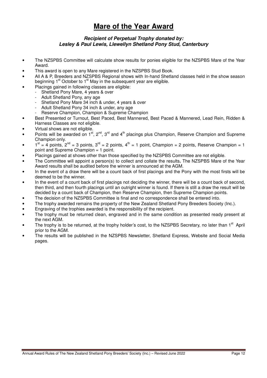## **Mare of the Year Award**

#### **Recipient of Perpetual Trophy donated by: Lesley & Paul Lewis, Llewellyn Shetland Pony Stud, Canterbury**

- The NZSPBS Committee will calculate show results for ponies eligible for the NZSPBS Mare of the Year Award.
- This award is open to any Mare registered in the NZSPBS Stud Book.
- All A & P, Breeders and NZSPBS Regional shows with In-hand Shetland classes held in the show season beginning  $1<sup>st</sup>$  October to  $1<sup>st</sup>$  May in the subsequent year are eligible.
- Placings gained in following classes are eligible:
- Shetland Pony Mare, 4 years & over
	- Adult Shetland Pony, any age
	- Shetland Pony Mare 34 inch & under, 4 years & over
	- Adult Shetland Pony 34 inch & under, any age
	- Reserve Champion, Champion & Supreme Champion
- Best Presented or Turnout, Best Paced, Best Mannered, Best Paced & Mannered, Lead Rein, Ridden & Harness Classes are not eligible.
- Virtual shows are not eligible.
- Points will be awarded on 1<sup>st</sup>, 2<sup>nd</sup>, 3<sup>rd</sup> and 4<sup>th</sup> placings plus Champion, Reserve Champion and Supreme Champion only.
- $1<sup>st</sup> = 4$  points,  $2<sup>nd</sup> = 3$  points,  $3<sup>rd</sup> = 2$  points,  $4<sup>th</sup> = 1$  point, Champion = 2 points, Reserve Champion = 1 point and Supreme Champion = 1 point.
- Placings gained at shows other than those specified by the NZSPBS Committee are not eligible.
- The Committee will appoint a person(s) to collect and collate the results**.** The NZSPBS Mare of the Year Award results shall be audited before the winner is announced at the AGM.
- In the event of a draw there will be a count back of first placings and the Pony with the most firsts will be deemed to be the winner.
- In the event of a count back of first placings not deciding the winner, there will be a count back of second, then third, and then fourth placings until an outright winner is found. If there is still a draw the result will be decided by a count back of Champion, then Reserve Champion, then Supreme Champion points.
- The decision of the NZSPBS Committee is final and no correspondence shall be entered into.
- The trophy awarded remains the property of the New Zealand Shetland Pony Breeders Society (Inc.).
- Engraving of the trophies awarded is the responsibility of the recipient.
- The trophy must be returned clean, engraved and in the same condition as presented ready present at the next AGM.
- The trophy is to be returned, at the trophy holder's cost, to the NZSPBS Secretary, no later than 1<sup>st</sup> April prior to the AGM.
- The results will be published in the NZSPBS Newsletter, Shetland Express, Website and Social Media pages.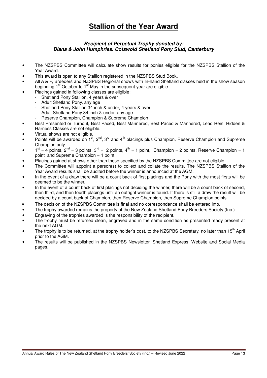# **Stallion of the Year Award**

#### **Recipient of Perpetual Trophy donated by: Diana & John Humphries. Cotswold Shetland Pony Stud, Canterbury**

- The NZSPBS Committee will calculate show results for ponies eligible for the NZSPBS Stallion of the Year Award.
- This award is open to any Stallion registered in the NZSPBS Stud Book.
- All A & P, Breeders and NZSPBS Regional shows with In-hand Shetland classes held in the show season beginning  $1<sup>st</sup>$  October to  $1<sup>st</sup>$  May in the subsequent year are eligible.
- Placings gained in following classes are eligible:
	- Shetland Pony Stallion, 4 years & over
	- Adult Shetland Pony, any age
	- Shetland Pony Stallion 34 inch & under, 4 years & over
	- Adult Shetland Pony 34 inch & under, any age
	- Reserve Champion, Champion & Supreme Champion
- Best Presented or Turnout, Best Paced, Best Mannered, Best Paced & Mannered, Lead Rein, Ridden & Harness Classes are not eligible.
- Virtual shows are not eligible.
- Points will be awarded on 1<sup>st</sup>, 2<sup>nd</sup>, 3<sup>rd</sup> and 4<sup>th</sup> placings plus Champion, Reserve Champion and Supreme Champion only.
- $1^{\text{st}} = 4$  points,  $2^{\text{nd}} = 3$  points,  $3^{\text{rd}} = 2$  points,  $4^{\text{th}} = 1$  point, Champion = 2 points, Reserve Champion = 1 point and Supreme Champion = 1 point.
- Placings gained at shows other than those specified by the NZSPBS Committee are not eligible.
- The Committee will appoint a person(s) to collect and collate the results**.** The NZSPBS Stallion of the Year Award results shall be audited before the winner is announced at the AGM.
- In the event of a draw there will be a count back of first placings and the Pony with the most firsts will be deemed to be the winner.
- In the event of a count back of first placings not deciding the winner, there will be a count back of second, then third, and then fourth placings until an outright winner is found. If there is still a draw the result will be decided by a count back of Champion, then Reserve Champion, then Supreme Champion points.
- The decision of the NZSPBS Committee is final and no correspondence shall be entered into.
- The trophy awarded remains the property of the New Zealand Shetland Pony Breeders Society (Inc.).
- Engraving of the trophies awarded is the responsibility of the recipient.
- The trophy must be returned clean, engraved and in the same condition as presented ready present at the next AGM.
- The trophy is to be returned, at the trophy holder's cost, to the NZSPBS Secretary, no later than 15<sup>th</sup> April prior to the AGM.
- The results will be published in the NZSPBS Newsletter, Shetland Express, Website and Social Media pages.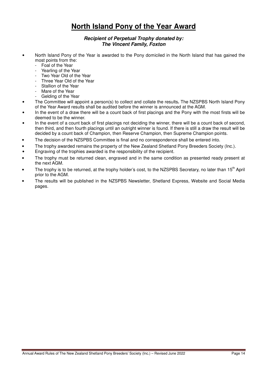# **North Island Pony of the Year Award**

#### **Recipient of Perpetual Trophy donated by: The Vincent Family, Foxton**

- North Island Pony of the Year is awarded to the Pony domiciled in the North Island that has gained the most points from the:
	- Foal of the Year
	- Yearling of the Year
	- Two Year Old of the Year
	- Three Year Old of the Year
	- Stallion of the Year
	- Mare of the Year
	- Gelding of the Year
- The Committee will appoint a person(s) to collect and collate the results**.** The NZSPBS North Island Pony of the Year Award results shall be audited before the winner is announced at the AGM.
- In the event of a draw there will be a count back of first placings and the Pony with the most firsts will be deemed to be the winner.
- In the event of a count back of first placings not deciding the winner, there will be a count back of second, then third, and then fourth placings until an outright winner is found. If there is still a draw the result will be decided by a count back of Champion, then Reserve Champion, then Supreme Champion points.
- The decision of the NZSPBS Committee is final and no correspondence shall be entered into.
- The trophy awarded remains the property of the New Zealand Shetland Pony Breeders Society (Inc.).
- Engraving of the trophies awarded is the responsibility of the recipient.
- The trophy must be returned clean, engraved and in the same condition as presented ready present at the next AGM.
- The trophy is to be returned, at the trophy holder's cost, to the NZSPBS Secretary, no later than 15<sup>th</sup> April prior to the AGM.
- The results will be published in the NZSPBS Newsletter, Shetland Express, Website and Social Media pages.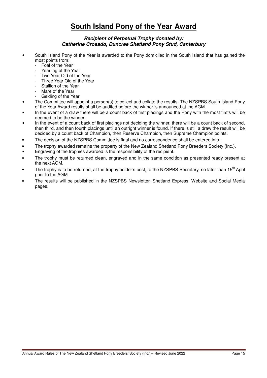# **South Island Pony of the Year Award**

#### **Recipient of Perpetual Trophy donated by: Catherine Crosado, Duncree Shetland Pony Stud, Canterbury**

- South Island Pony of the Year is awarded to the Pony domiciled in the South Island that has gained the most points from:
	- Foal of the Year
	- Yearling of the Year
	- Two Year Old of the Year
	- Three Year Old of the Year
	- Stallion of the Year
	- Mare of the Year
	- Gelding of the Year
- The Committee will appoint a person(s) to collect and collate the results**.** The NZSPBS South Island Pony of the Year Award results shall be audited before the winner is announced at the AGM.
- In the event of a draw there will be a count back of first placings and the Pony with the most firsts will be deemed to be the winner.
- In the event of a count back of first placings not deciding the winner, there will be a count back of second, then third, and then fourth placings until an outright winner is found. If there is still a draw the result will be decided by a count back of Champion, then Reserve Champion, then Supreme Champion points.
- The decision of the NZSPBS Committee is final and no correspondence shall be entered into.
- The trophy awarded remains the property of the New Zealand Shetland Pony Breeders Society (Inc.).
- Engraving of the trophies awarded is the responsibility of the recipient.
- The trophy must be returned clean, engraved and in the same condition as presented ready present at the next AGM.
- The trophy is to be returned, at the trophy holder's cost, to the NZSPBS Secretary, no later than 15<sup>th</sup> April prior to the AGM.
- The results will be published in the NZSPBS Newsletter, Shetland Express, Website and Social Media pages.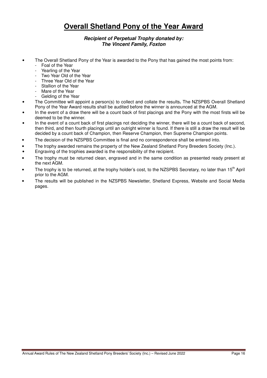# **Overall Shetland Pony of the Year Award**

#### **Recipient of Perpetual Trophy donated by: The Vincent Family, Foxton**

- The Overall Shetland Pony of the Year is awarded to the Pony that has gained the most points from:
	- Foal of the Year
	- Yearling of the Year
	- Two Year Old of the Year
	- Three Year Old of the Year
	- Stallion of the Year
	- Mare of the Year
	- Gelding of the Year
- The Committee will appoint a person(s) to collect and collate the results**.** The NZSPBS Overall Shetland Pony of the Year Award results shall be audited before the winner is announced at the AGM.
- In the event of a draw there will be a count back of first placings and the Pony with the most firsts will be deemed to be the winner.
- In the event of a count back of first placings not deciding the winner, there will be a count back of second, then third, and then fourth placings until an outright winner is found. If there is still a draw the result will be decided by a count back of Champion, then Reserve Champion, then Supreme Champion points.
- The decision of the NZSPBS Committee is final and no correspondence shall be entered into.
- The trophy awarded remains the property of the New Zealand Shetland Pony Breeders Society (Inc.).
- Engraving of the trophies awarded is the responsibility of the recipient.
- The trophy must be returned clean, engraved and in the same condition as presented ready present at the next AGM.
- The trophy is to be returned, at the trophy holder's cost, to the NZSPBS Secretary, no later than 15<sup>th</sup> April prior to the AGM.
- The results will be published in the NZSPBS Newsletter, Shetland Express, Website and Social Media pages.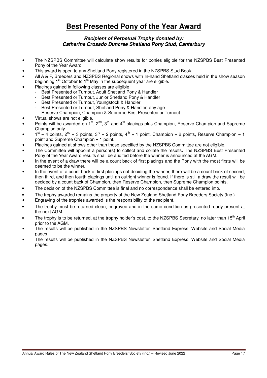# **Best Presented Pony of the Year Award**

#### **Recipient of Perpetual Trophy donated by: Catherine Crosado Duncree Shetland Pony Stud, Canterbury**

- The NZSPBS Committee will calculate show results for ponies eligible for the NZSPBS Best Presented Pony of the Year Award.
- This award is open to any Shetland Pony registered in the NZSPBS Stud Book.
- All A & P, Breeders and NZSPBS Regional shows with In-hand Shetland classes held in the show season beginning  $1<sup>st</sup>$  October to  $1<sup>st</sup>$  May in the subsequent year are eligible.
- Placings gained in following classes are eligible:
	- Best Presented or Turnout, Adult Shetland Pony & Handler
	- Best Presented or Turnout, Junior Shetland Pony & Handler
	- Best Presented or Turnout, Youngstock & Handler
	- Best Presented or Turnout, Shetland Pony & Handler, any age
	- Reserve Champion, Champion & Supreme Best Presented or Turnout.
- Virtual shows are not eligible.
- Points will be awarded on 1<sup>st</sup>, 2<sup>nd</sup>, 3<sup>rd</sup> and 4<sup>th</sup> placings plus Champion, Reserve Champion and Supreme Champion only.
- $1^{\text{st}} = 4$  points,  $2^{\text{nd}} = 3$  points,  $3^{\text{rd}} = 2$  points,  $4^{\text{th}} = 1$  point, Champion = 2 points, Reserve Champion = 1 point and Supreme Champion = 1 point.
- Placings gained at shows other than those specified by the NZSPBS Committee are not eligible.
- The Committee will appoint a person(s) to collect and collate the results**.** The NZSPBS Best Presented Pony of the Year Award results shall be audited before the winner is announced at the AGM.
- In the event of a draw there will be a count back of first placings and the Pony with the most firsts will be deemed to be the winner.
- In the event of a count back of first placings not deciding the winner, there will be a count back of second, then third, and then fourth placings until an outright winner is found. If there is still a draw the result will be decided by a count back of Champion, then Reserve Champion, then Supreme Champion points.
- The decision of the NZSPBS Committee is final and no correspondence shall be entered into.
- The trophy awarded remains the property of the New Zealand Shetland Pony Breeders Society (Inc.).
- Engraving of the trophies awarded is the responsibility of the recipient.
- The trophy must be returned clean, engraved and in the same condition as presented ready present at the next AGM.
- The trophy is to be returned, at the trophy holder's cost, to the NZSPBS Secretary, no later than 15<sup>th</sup> April prior to the AGM.
- The results will be published in the NZSPBS Newsletter, Shetland Express, Website and Social Media pages.
- The results will be published in the NZSPBS Newsletter, Shetland Express, Website and Social Media pages.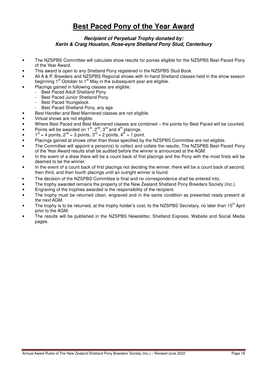# **Best Paced Pony of the Year Award**

#### **Recipient of Perpetual Trophy donated by: Kerin & Craig Houston, Rose-eyre Shetland Pony Stud, Canterbury**

- The NZSPBS Committee will calculate show results for ponies eligible for the NZSPBS Best Paced Pony of the Year Award.
- This award is open to any Shetland Pony registered in the NZSPBS Stud Book.
- All A & P, Breeders and NZSPBS Regional shows with In-hand Shetland classes held in the show season beginning  $1<sup>st</sup>$  October to  $1<sup>st</sup>$  May in the subsequent year are eligible.
- Placings gained in following classes are eligible:
- Best Paced Adult Shetland Pony
	- Best Paced Junior Shetland Pony
	- Best Paced Youngstock
	- Best Paced Shetland Pony, any age
- Best Handler and Best Mannered classes are not eligible.
- Virtual shows are not eligible.
- Where Best Paced and Best Mannered classes are combined the points for Best Paced will be counted.
- Points will be awarded on  $1^{st}$ ,  $2^{nd}$ ,  $3^{rd}$  and  $4^{th}$  placings.
- $1^{st} = 4$  points,  $2^{nd} = 3$  points,  $3^{rd} = 2$  points,  $4^{th} = 1$  point.
- Placings gained at shows other than those specified by the NZSPBS Committee are not eligible.
- The Committee will appoint a person(s) to collect and collate the results**.** The NZSPBS Best Paced Pony of the Year Award results shall be audited before the winner is announced at the AGM.
- In the event of a draw there will be a count back of first placings and the Pony with the most firsts will be deemed to be the winner.
- In the event of a count back of first placings not deciding the winner, there will be a count back of second, then third, and then fourth placings until an outright winner is found.
- The decision of the NZSPBS Committee is final and no correspondence shall be entered into.
- The trophy awarded remains the property of the New Zealand Shetland Pony Breeders Society (Inc.).
- Engraving of the trophies awarded is the responsibility of the recipient.
- The trophy must be returned clean, engraved and in the same condition as presented ready present at the next AGM.
- The trophy is to be returned, at the trophy holder's cost, to the NZSPBS Secretary, no later than 15<sup>th</sup> April prior to the AGM.
- The results will be published in the NZSPBS Newsletter, Shetland Express, Website and Social Media pages.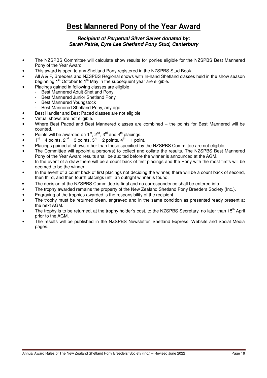# **Best Mannered Pony of the Year Award**

#### **Recipient of Perpetual Silver Salver donated by: Sarah Petrie, Eyre Lea Shetland Pony Stud, Canterbury**

- The NZSPBS Committee will calculate show results for ponies eligible for the NZSPBS Best Mannered Pony of the Year Award.
- This award is open to any Shetland Pony registered in the NZSPBS Stud Book.
- All A & P, Breeders and NZSPBS Regional shows with In-hand Shetland classes held in the show season beginning  $1<sup>st</sup>$  October to  $1<sup>st</sup>$  May in the subsequent year are eligible.
- Placings gained in following classes are eligible:
- Best Mannered Adult Shetland Pony
	- Best Mannered Junior Shetland Pony
	- Best Mannered Youngstock
	- Best Mannered Shetland Pony, any age
- Best Handler and Best Paced classes are not eligible.
- Virtual shows are not eligible.
- Where Best Paced and Best Mannered classes are combined the points for Best Mannered will be counted.
- Points will be awarded on  $1<sup>st</sup>$ ,  $2<sup>nd</sup>$ ,  $3<sup>rd</sup>$  and  $4<sup>th</sup>$  placings.
- $1^{\text{st}} = 4$  points,  $2^{\text{nd}} = 3$  points,  $3^{\text{rd}} = 2$  points,  $4^{\text{th}} = 1$  point.
- Placings gained at shows other than those specified by the NZSPBS Committee are not eligible.
- The Committee will appoint a person(s) to collect and collate the results**.** The NZSPBS Best Mannered Pony of the Year Award results shall be audited before the winner is announced at the AGM.
- In the event of a draw there will be a count back of first placings and the Pony with the most firsts will be deemed to be the winner.
- In the event of a count back of first placings not deciding the winner, there will be a count back of second, then third, and then fourth placings until an outright winner is found.
- The decision of the NZSPBS Committee is final and no correspondence shall be entered into.
- The trophy awarded remains the property of the New Zealand Shetland Pony Breeders Society (Inc.).
- Engraving of the trophies awarded is the responsibility of the recipient.
- The trophy must be returned clean, engraved and in the same condition as presented ready present at the next AGM.
- The trophy is to be returned, at the trophy holder's cost, to the NZSPBS Secretary, no later than 15<sup>th</sup> April prior to the AGM.
- The results will be published in the NZSPBS Newsletter, Shetland Express, Website and Social Media pages.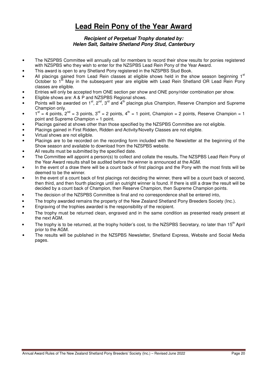# **Lead Rein Pony of the Year Award**

#### **Recipient of Perpetual Trophy donated by: Helen Salt, Saltaire Shetland Pony Stud, Canterbury**

- The NZSPBS Committee will annually call for members to record their show results for ponies registered with NZSPBS who they wish to enter for the NZSPBS Lead Rein Pony of the Year Award.
- This award is open to any Shetland Pony registered in the NZSPBS Stud Book.
- All placings gained from Lead Rein classes at eligible shows held in the show season beginning 1st October to  $1^{\text{st}}$  May in the subsequent year are eligible with Lead Rein Shetland OR Lead Rein Pony classes are eligible.
- Entries will only be accepted from ONE section per show and ONE pony/rider combination per show.
- Eligible shows are: A & P and NZSPBS Regional shows.
- Points will be awarded on 1<sup>st</sup>, 2<sup>nd</sup>, 3<sup>rd</sup> and  $4<sup>th</sup>$  placings plus Champion, Reserve Champion and Supreme Champion only.
- $1<sup>st</sup> = 4$  points,  $2<sup>nd</sup> = 3$  points,  $3<sup>rd</sup> = 2$  points,  $4<sup>th</sup> = 1$  point, Champion = 2 points, Reserve Champion = 1 point and Supreme Champion = 1 point.
- Placings gained at shows other than those specified by the NZSPBS Committee are not eligible.
- Placings gained in First Ridden, Ridden and Activity/Novelty Classes are not eligible.
- Virtual shows are not eligible.
- Placings are to be recorded on the recording form included with the Newsletter at the beginning of the Show season and available to download from the NZSPBS website.
- All results must be submitted by the specified date.
- The Committee will appoint a person(s) to collect and collate the results**.** The NZSPBS Lead Rein Pony of the Year Award results shall be audited before the winner is announced at the AGM.
- In the event of a draw there will be a count back of first placings and the Pony with the most firsts will be deemed to be the winner.
- In the event of a count back of first placings not deciding the winner, there will be a count back of second, then third, and then fourth placings until an outright winner is found. If there is still a draw the result will be decided by a count back of Champion, then Reserve Champion, then Supreme Champion points.
- The decision of the NZSPBS Committee is final and no correspondence shall be entered into,
- The trophy awarded remains the property of the New Zealand Shetland Pony Breeders Society (Inc.).
- Engraving of the trophies awarded is the responsibility of the recipient.
- The trophy must be returned clean, engraved and in the same condition as presented ready present at the next AGM.
- The trophy is to be returned, at the trophy holder's cost, to the NZSPBS Secretary, no later than 15<sup>th</sup> April prior to the AGM.
- The results will be published in the NZSPBS Newsletter, Shetland Express, Website and Social Media pages.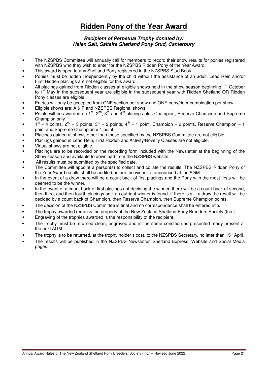# **Ridden Pony of the Year Award**

#### **Recipient of Perpetual Trophy donated by: Helen Salt, Saltaire Shetland Pony Stud, Canterbury**

- The NZSPBS Committee will annually call for members to record their show results for ponies registered with NZSPBS who they wish to enter for the NZSPBS Ridden Pony of the Year Award.
- This award is open to any Shetland Pony registered in the NZSPBS Stud Book.
- Ponies must be ridden independently by the child without the assistance of an adult. Lead Rein and/or First Ridden placings are not eligible for this award.
- All placings gained from Ridden classes at eligible shows held in the show season beginning 1<sup>st</sup> October to 1<sup>st</sup> May in the subsequent year are eligible in the subsequent year with Ridden Shetland OR Ridden Pony classes are eligible.
- Entries will only be accepted from ONE section per show and ONE pony/rider combination per show.
- Eligible shows are: A & P and NZSPBS Regional shows.
- Points will be awarded on  $1^{st}$ ,  $2^{nd}$ ,  $3^{rd}$  and  $4^{th}$  placings plus Champion, Reserve Champion and Supreme Champion only.
- $1<sup>st</sup> = 4$  points,  $2<sup>nd</sup> = 3$  points,  $3<sup>rd</sup> = 2$  points,  $4<sup>th</sup> = 1$  point, Champion = 2 points, Reserve Champion = 1 point and Supreme Champion = 1 point.
- Placings gained at shows other than those specified by the NZSPBS Committee are not eligible.
- Placings gained in Lead Rein, First Ridden and Activity/Novelty Classes are not eligible.
- Virtual shows are not eligible.
- Placings are to be recorded on the recording form included with the Newsletter at the beginning of the Show season and available to download from the NZSPBS website.
- All results must be submitted by the specified date.
- The Committee will appoint a person(s) to collect and collate the results**.** The NZSPBS Ridden Pony of the Year Award results shall be audited before the winner is announced at the AGM.
- In the event of a draw there will be a count back of first placings and the Pony with the most firsts will be deemed to be the winner.
- In the event of a count back of first placings not deciding the winner, there will be a count back of second, then third, and then fourth placings until an outright winner is found. If there is still a draw the result will be decided by a count back of Champion, then Reserve Champion, then Supreme Champion points.
- The decision of the NZSPBS Committee is final and no correspondence shall be entered into.
- The trophy awarded remains the property of the New Zealand Shetland Pony Breeders Society (Inc.).
- Engraving of the trophies awarded is the responsibility of the recipient.
- The trophy must be returned clean, engraved and in the same condition as presented ready present at the next AGM.
- The trophy is to be returned, at the trophy holder's cost, to the NZSPBS Secretary, no later than 15<sup>th</sup> April.
- The results will be published in the NZSPBS Newsletter, Shetland Express, Website and Social Media pages.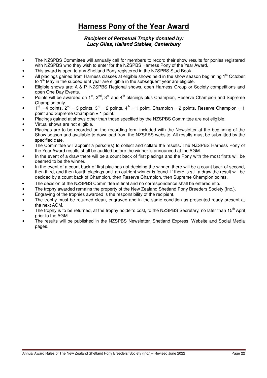# **Harness Pony of the Year Award**

#### **Recipient of Perpetual Trophy donated by: Lucy Giles, Halland Stables, Canterbury**

- The NZSPBS Committee will annually call for members to record their show results for ponies registered with NZSPBS who they wish to enter for the NZSPBS Harness Pony of the Year Award.
- This award is open to any Shetland Pony registered in the NZSPBS Stud Book.
- All placings gained from Harness classes at eligible shows held in the show season beginning 1<sup>st</sup> October to  $1<sup>st</sup>$  May in the subsequent year are eligible in the subsequent year are eligible.
- Eligible shows are: A & P, NZSPBS Regional shows, open Harness Group or Society competitions and open One Day Events.
- Points will be awarded on  $1^{st}$ ,  $2^{nd}$ ,  $3^{rd}$  and  $4^{th}$  placings plus Champion, Reserve Champion and Supreme Champion only.
- $1^{\text{st}} = 4$  points,  $2^{\text{nd}} = 3$  points,  $3^{\text{rd}} = 2$  points,  $4^{\text{th}} = 1$  point, Champion = 2 points, Reserve Champion = 1 point and Supreme Champion = 1 point.
- Placings gained at shows other than those specified by the NZSPBS Committee are not eligible.
- Virtual shows are not eligible.
- Placings are to be recorded on the recording form included with the Newsletter at the beginning of the Show season and available to download from the NZSPBS website. All results must be submitted by the specified date.
- The Committee will appoint a person(s) to collect and collate the results**.** The NZSPBS Harness Pony of the Year Award results shall be audited before the winner is announced at the AGM.
- In the event of a draw there will be a count back of first placings and the Pony with the most firsts will be deemed to be the winner.
- In the event of a count back of first placings not deciding the winner, there will be a count back of second, then third, and then fourth placings until an outright winner is found. If there is still a draw the result will be decided by a count back of Champion, then Reserve Champion, then Supreme Champion points.
- The decision of the NZSPBS Committee is final and no correspondence shall be entered into.
- The trophy awarded remains the property of the New Zealand Shetland Pony Breeders Society (Inc.).
- Engraving of the trophies awarded is the responsibility of the recipient.
- The trophy must be returned clean, engraved and in the same condition as presented ready present at the next AGM.
- The trophy is to be returned, at the trophy holder's cost, to the NZSPBS Secretary, no later than 15<sup>th</sup> April prior to the AGM.
- The results will be published in the NZSPBS Newsletter, Shetland Express, Website and Social Media pages.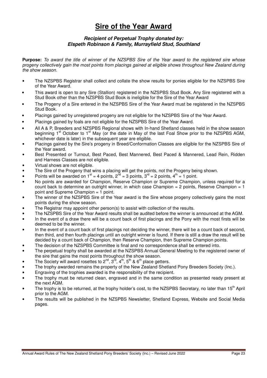# **Sire of the Year Award**

#### **Recipient of Perpetual Trophy donated by: Elspeth Robinson & Family, Murrayfield Stud, Southland**

**Purpose:** To award the title of winner of the NZSPBS Sire of the Year award to the registered sire whose progeny collectively gain the most points from placings gained at eligible shows throughout New Zealand during the show season.

- The NZSPBS Registrar shall collect and collate the show results for ponies eligible for the NZSPBS Sire of the Year Award.
- This award is open to any Sire (Stallion) registered in the NZSPBS Stud Book. Any Sire registered with a Stud Book other than the NZSPBS Stud Book is ineligible for the Sire of the Year Award
- The Progeny of a Sire entered in the NZSPBS Sire of the Year Award must be registered in the NZSPBS Stud Book.
- Placings gained by unregistered progeny are not eligible for the NZSPBS Sire of the Year Award.
- Placings gained by foals are not eligible for the NZSPBS Sire of the Year Award.
- All A & P, Breeders and NZSPBS Regional shows with In-hand Shetland classes held in the show season beginning 1<sup>st</sup> October to 1<sup>st</sup> May (or the date in May of the last Foal Show prior to the NZSPBS AGM, whichever date is later) in the subsequent year are eligible.
- Placings gained by the Sire's progeny in Breed/Conformation Classes are eligible for the NZSPBS Sire of the Year award.
- Best Presented or Turnout, Best Paced, Best Mannered, Best Paced & Mannered, Lead Rein, Ridden and Harness Classes are not eligible.
- Virtual shows are not eligible.
- The Sire of the Progeny that wins a placing will get the points, not the Progeny being shown.
- Points will be awarded on  $1^{st} = 4$  points,  $2^{nd} = 3$  points,  $3^{rd} = 2$  points,  $4^{th} = 1$  point.
- No points are awarded for Champion, Reserve Champion or Supreme Champion, unless required for a count back to determine an outright winner, in which case Champion = 2 points, Reserve Champion = 1 point and Supreme Champion = 1 point.
- The winner of the NZSPBS Sire of the Year award is the Sire whose progeny collectively gains the most points during the show season.
- The Registrar may appoint other person(s) to assist with collection of the results.
- The NZSPBS Sire of the Year Award results shall be audited before the winner is announced at the AGM.
- In the event of a draw there will be a count back of first placings and the Pony with the most firsts will be deemed to be the winner.
- In the event of a count back of first placings not deciding the winner, there will be a count back of second, then third, and then fourth placings until an outright winner is found. If there is still a draw the result will be decided by a count back of Champion, then Reserve Champion, then Supreme Champion points.
- The decision of the NZSPBS Committee is final and no correspondence shall be entered into.
- The perpetual trophy shall be awarded at the NZSPBS Annual General Meeting to the registered owner of the sire that gains the most points throughout the show season.
- The Society will award rosettes to  $2^{nd}$ ,  $3^{rd}$ ,  $4^{th}$ ,  $5^{th}$  &  $6^{th}$  place getters.
- The trophy awarded remains the property of the New Zealand Shetland Pony Breeders Society (Inc.).
- Engraving of the trophies awarded is the responsibility of the recipient.
- The trophy must be returned clean, engraved and in the same condition as presented ready present at the next AGM.
- The trophy is to be returned, at the trophy holder's cost, to the NZSPBS Secretary, no later than 15<sup>th</sup> April prior to the AGM.
- The results will be published in the NZSPBS Newsletter, Shetland Express, Website and Social Media pages.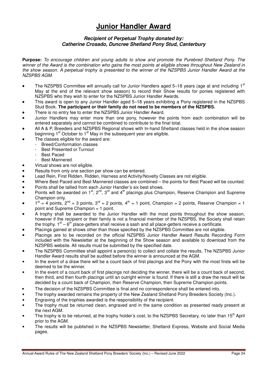# **Junior Handler Award**

#### **Recipient of Perpetual Trophy donated by: Catherine Crosado, Duncree Shetland Pony Stud, Canterbury**

**Purpose:** To encourage children and young adults to show and promote the Purebred Shetland Pony. The winner of the Award is the combination who gains the most points at eligible shows throughout New Zealand in the show season. A perpetual trophy is presented to the winner of the NZSPBS Junior Handler Award at the NZSPBS AGM.

- The NZSPBS Committee will annually call for Junior Handlers aged 5-18 years (age at and including 1st May at the end of the relevant show season) to record their Show results for ponies registered with NZSPBS who they wish to enter for the NZSPBS Junior Handler Awards.
- This award is open to any Junior Handler aged 5–18 years exhibiting a Pony registered in the NZSPBS Stud Book. **The participant or their family do not need to be members of the NZSPBS.**
- There is no entry fee to enter the NZSPBS Junior Handler Award.
- Junior Handlers may enter more than one pony, however the points from each combination will be entered separately and cannot be combined to contribute to the final total.
- All A & P, Breeders and NZSPBS Regional shows with In-hand Shetland classes held in the show season beginning 1<sup>st</sup> October to 1<sup>st</sup> May in the subsequent year are eligible.
- The classes eligible for the award are:
	- Breed/Conformation classes
	- Best Presented or Turnout
	- Best Paced
	- Best Mannered
- Virtual shows are not eligible.
- Results from only one section per show can be entered.
- Lead Rein, First Ridden, Ridden, Harness and Activity/Novelty Classes are not eligible.
- Where Best Paced and Best Mannered classes are combined the points for Best Paced will be counted.
- Points shall be tallied from each Junior Handler's six best shows.
- Points will be awarded on  $1^{st}$ ,  $2^{nd}$ ,  $3^{rd}$  and  $4^{th}$  placings plus Champion, Reserve Champion and Supreme Champion only.
- $1<sup>st</sup> = 4$  points,  $2<sup>nd</sup> = 3$  points,  $3<sup>rd</sup> = 2$  points,  $4<sup>th</sup> = 1$  point, Champion = 2 points, Reserve Champion = 1 point and Supreme Champion = 1 point.
- A trophy shall be awarded to the Junior Handler with the most points throughout the show season, however if the recipient or their family is not a financial member of the NZSPBS, the Society shall retain the trophy.  $1<sup>st</sup> - 6<sup>th</sup>$  place-getters shall receive a sash and all place-getters receive a certificate.
- Placings gained at shows other than those specified by the NZSPBS Committee are not eligible.
- Placings are to be recorded on the official NZSPBS Junior Handler Award Results Recording Form included with the Newsletter at the beginning of the Show season and available to download from the NZSPBS website. All results must be submitted by the specified date.
- The NZSPBS Committee shall appoint a person(s) to collect and collate the results. The NZSPBS Junior Handler Award results shall be audited before the winner is announced at the AGM.
- In the event of a draw there will be a count back of first placings and the Pony with the most firsts will be deemed to be the winner.
- In the event of a count back of first placings not deciding the winner, there will be a count back of second, then third, and then fourth placings until an outright winner is found. If there is still a draw the result will be decided by a count back of Champion, then Reserve Champion, then Supreme Champion points.
- The decision of the NZSPBS Committee is final and no correspondence shall be entered into.
- The trophy awarded remains the property of the New Zealand Shetland Pony Breeders Society (Inc.).
- Engraving of the trophies awarded is the responsibility of the recipient.
- The trophy must be returned clean, engraved and in the same condition as presented ready present at the next AGM.
- The trophy is to be returned, at the trophy holder's cost, to the NZSPBS Secretary, no later than 15<sup>th</sup> April prior to the AGM.
- The results will be published in the NZSPBS Newsletter, Shetland Express, Website and Social Media pages.